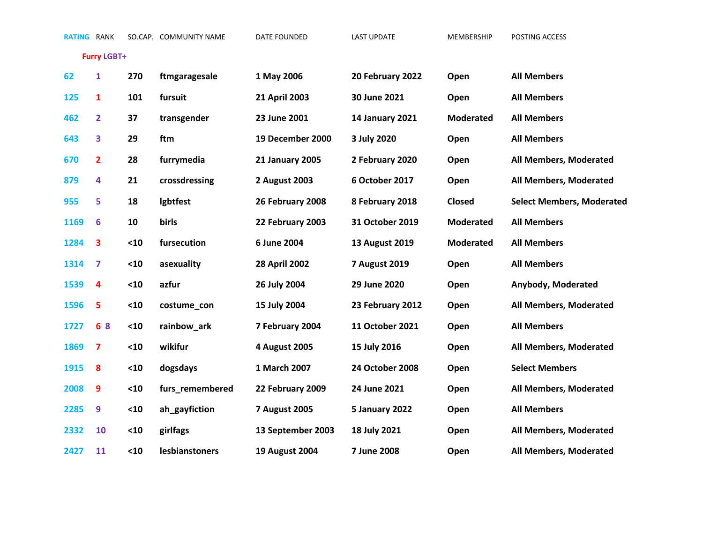**Furry LGBT+**

| 62   | 1                       | 270  | ftmgaragesale   | 1 May 2006             | 20 February 2022       | Open             | <b>All Members</b>               |
|------|-------------------------|------|-----------------|------------------------|------------------------|------------------|----------------------------------|
| 125  | $\mathbf{1}$            | 101  | fursuit         | 21 April 2003          | 30 June 2021           | Open             | <b>All Members</b>               |
| 462  | $\overline{2}$          | 37   | transgender     | 23 June 2001           | <b>14 January 2021</b> | <b>Moderated</b> | <b>All Members</b>               |
| 643  | 3                       | 29   | ftm             | 19 December 2000       | 3 July 2020            | Open             | <b>All Members</b>               |
| 670  | $\overline{\mathbf{2}}$ | 28   | furrymedia      | <b>21 January 2005</b> | 2 February 2020        | Open             | All Members, Moderated           |
| 879  | 4                       | 21   | crossdressing   | 2 August 2003          | 6 October 2017         | Open             | All Members, Moderated           |
| 955  | 5                       | 18   | Igbtfest        | 26 February 2008       | 8 February 2018        | <b>Closed</b>    | <b>Select Members, Moderated</b> |
| 1169 | 6                       | 10   | birls           | 22 February 2003       | 31 October 2019        | <b>Moderated</b> | <b>All Members</b>               |
| 1284 | 3                       | $10$ | fursecution     | 6 June 2004            | 13 August 2019         | <b>Moderated</b> | <b>All Members</b>               |
| 1314 | 7                       | $10$ | asexuality      | 28 April 2002          | <b>7 August 2019</b>   | Open             | <b>All Members</b>               |
| 1539 | 4                       | $10$ | azfur           | 26 July 2004           | 29 June 2020           | Open             | Anybody, Moderated               |
| 1596 | 5                       | $10$ | costume_con     | 15 July 2004           | 23 February 2012       | Open             | All Members, Moderated           |
| 1727 | 68                      | $10$ | rainbow_ark     | 7 February 2004        | 11 October 2021        | Open             | <b>All Members</b>               |
| 1869 | 7                       | $10$ | wikifur         | 4 August 2005          | 15 July 2016           | Open             | All Members, Moderated           |
| 1915 | 8                       | $10$ | dogsdays        | 1 March 2007           | 24 October 2008        | Open             | <b>Select Members</b>            |
| 2008 | 9                       | $10$ | furs_remembered | 22 February 2009       | 24 June 2021           | Open             | All Members, Moderated           |
| 2285 | 9                       | $10$ | ah_gayfiction   | <b>7 August 2005</b>   | 5 January 2022         | Open             | <b>All Members</b>               |
| 2332 | 10                      | $10$ | girlfags        | 13 September 2003      | 18 July 2021           | Open             | All Members, Moderated           |
| 2427 | 11                      | $10$ | lesbianstoners  | <b>19 August 2004</b>  | 7 June 2008            | Open             | All Members, Moderated           |